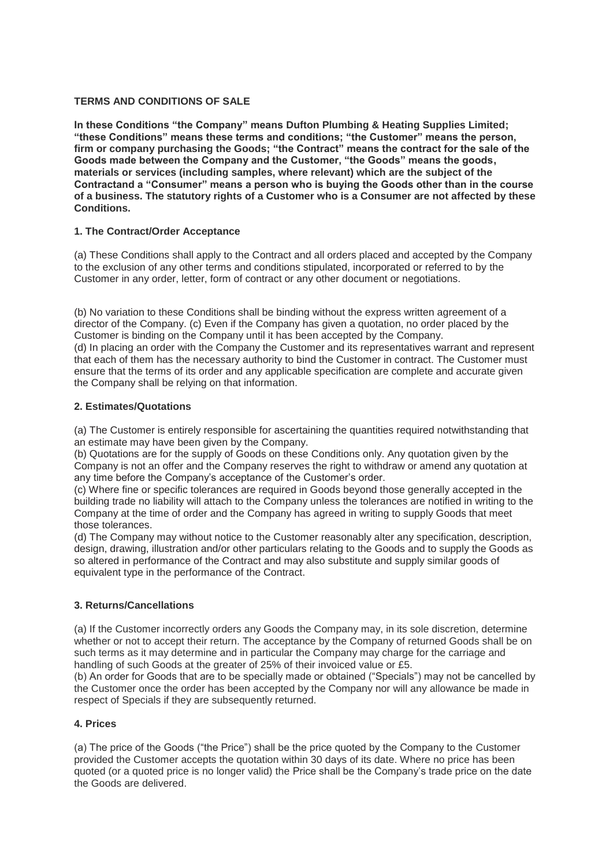## **TERMS AND CONDITIONS OF SALE**

**In these Conditions "the Company" means Dufton Plumbing & Heating Supplies Limited; "these Conditions" means these terms and conditions; "the Customer" means the person, firm or company purchasing the Goods; "the Contract" means the contract for the sale of the Goods made between the Company and the Customer, "the Goods" means the goods, materials or services (including samples, where relevant) which are the subject of the Contractand a "Consumer" means a person who is buying the Goods other than in the course of a business. The statutory rights of a Customer who is a Consumer are not affected by these Conditions.**

# **1. The Contract/Order Acceptance**

(a) These Conditions shall apply to the Contract and all orders placed and accepted by the Company to the exclusion of any other terms and conditions stipulated, incorporated or referred to by the Customer in any order, letter, form of contract or any other document or negotiations.

(b) No variation to these Conditions shall be binding without the express written agreement of a director of the Company. (c) Even if the Company has given a quotation, no order placed by the Customer is binding on the Company until it has been accepted by the Company. (d) In placing an order with the Company the Customer and its representatives warrant and represent that each of them has the necessary authority to bind the Customer in contract. The Customer must ensure that the terms of its order and any applicable specification are complete and accurate given the Company shall be relying on that information.

## **2. Estimates/Quotations**

(a) The Customer is entirely responsible for ascertaining the quantities required notwithstanding that an estimate may have been given by the Company.

(b) Quotations are for the supply of Goods on these Conditions only. Any quotation given by the Company is not an offer and the Company reserves the right to withdraw or amend any quotation at any time before the Company's acceptance of the Customer's order.

(c) Where fine or specific tolerances are required in Goods beyond those generally accepted in the building trade no liability will attach to the Company unless the tolerances are notified in writing to the Company at the time of order and the Company has agreed in writing to supply Goods that meet those tolerances.

(d) The Company may without notice to the Customer reasonably alter any specification, description, design, drawing, illustration and/or other particulars relating to the Goods and to supply the Goods as so altered in performance of the Contract and may also substitute and supply similar goods of equivalent type in the performance of the Contract.

## **3. Returns/Cancellations**

(a) If the Customer incorrectly orders any Goods the Company may, in its sole discretion, determine whether or not to accept their return. The acceptance by the Company of returned Goods shall be on such terms as it may determine and in particular the Company may charge for the carriage and handling of such Goods at the greater of 25% of their invoiced value or £5.

(b) An order for Goods that are to be specially made or obtained ("Specials") may not be cancelled by the Customer once the order has been accepted by the Company nor will any allowance be made in respect of Specials if they are subsequently returned.

## **4. Prices**

(a) The price of the Goods ("the Price") shall be the price quoted by the Company to the Customer provided the Customer accepts the quotation within 30 days of its date. Where no price has been quoted (or a quoted price is no longer valid) the Price shall be the Company's trade price on the date the Goods are delivered.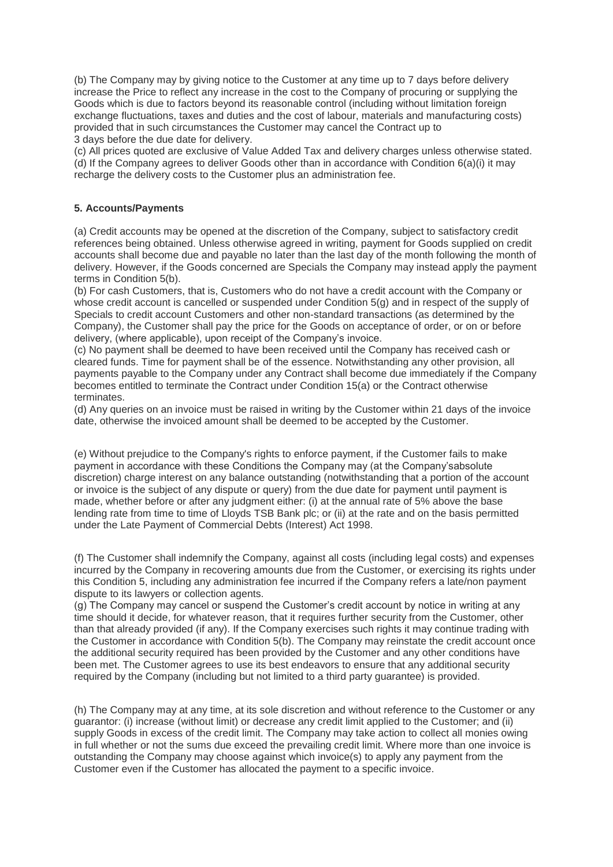(b) The Company may by giving notice to the Customer at any time up to 7 days before delivery increase the Price to reflect any increase in the cost to the Company of procuring or supplying the Goods which is due to factors beyond its reasonable control (including without limitation foreign exchange fluctuations, taxes and duties and the cost of labour, materials and manufacturing costs) provided that in such circumstances the Customer may cancel the Contract up to 3 days before the due date for delivery.

(c) All prices quoted are exclusive of Value Added Tax and delivery charges unless otherwise stated. (d) If the Company agrees to deliver Goods other than in accordance with Condition 6(a)(i) it may recharge the delivery costs to the Customer plus an administration fee.

### **5. Accounts/Payments**

(a) Credit accounts may be opened at the discretion of the Company, subject to satisfactory credit references being obtained. Unless otherwise agreed in writing, payment for Goods supplied on credit accounts shall become due and payable no later than the last day of the month following the month of delivery. However, if the Goods concerned are Specials the Company may instead apply the payment terms in Condition 5(b).

(b) For cash Customers, that is, Customers who do not have a credit account with the Company or whose credit account is cancelled or suspended under Condition 5(g) and in respect of the supply of Specials to credit account Customers and other non-standard transactions (as determined by the Company), the Customer shall pay the price for the Goods on acceptance of order, or on or before delivery, (where applicable), upon receipt of the Company's invoice.

(c) No payment shall be deemed to have been received until the Company has received cash or cleared funds. Time for payment shall be of the essence. Notwithstanding any other provision, all payments payable to the Company under any Contract shall become due immediately if the Company becomes entitled to terminate the Contract under Condition 15(a) or the Contract otherwise terminates.

(d) Any queries on an invoice must be raised in writing by the Customer within 21 days of the invoice date, otherwise the invoiced amount shall be deemed to be accepted by the Customer.

(e) Without prejudice to the Company's rights to enforce payment, if the Customer fails to make payment in accordance with these Conditions the Company may (at the Company'sabsolute discretion) charge interest on any balance outstanding (notwithstanding that a portion of the account or invoice is the subject of any dispute or query) from the due date for payment until payment is made, whether before or after any judgment either: (i) at the annual rate of 5% above the base lending rate from time to time of Lloyds TSB Bank plc; or (ii) at the rate and on the basis permitted under the Late Payment of Commercial Debts (Interest) Act 1998.

(f) The Customer shall indemnify the Company, against all costs (including legal costs) and expenses incurred by the Company in recovering amounts due from the Customer, or exercising its rights under this Condition 5, including any administration fee incurred if the Company refers a late/non payment dispute to its lawyers or collection agents.

(g) The Company may cancel or suspend the Customer's credit account by notice in writing at any time should it decide, for whatever reason, that it requires further security from the Customer, other than that already provided (if any). If the Company exercises such rights it may continue trading with the Customer in accordance with Condition 5(b). The Company may reinstate the credit account once the additional security required has been provided by the Customer and any other conditions have been met. The Customer agrees to use its best endeavors to ensure that any additional security required by the Company (including but not limited to a third party guarantee) is provided.

(h) The Company may at any time, at its sole discretion and without reference to the Customer or any guarantor: (i) increase (without limit) or decrease any credit limit applied to the Customer; and (ii) supply Goods in excess of the credit limit. The Company may take action to collect all monies owing in full whether or not the sums due exceed the prevailing credit limit. Where more than one invoice is outstanding the Company may choose against which invoice(s) to apply any payment from the Customer even if the Customer has allocated the payment to a specific invoice.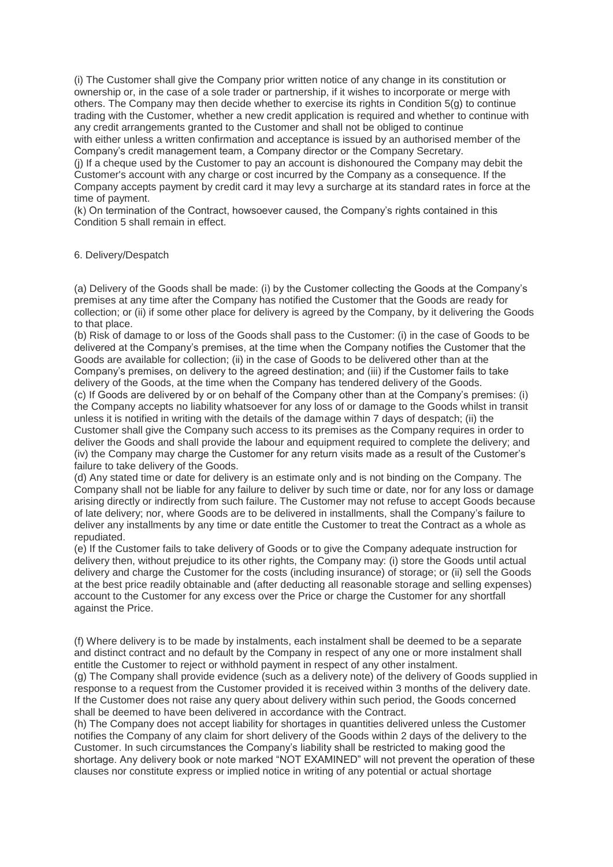(i) The Customer shall give the Company prior written notice of any change in its constitution or ownership or, in the case of a sole trader or partnership, if it wishes to incorporate or merge with others. The Company may then decide whether to exercise its rights in Condition 5(g) to continue trading with the Customer, whether a new credit application is required and whether to continue with any credit arrangements granted to the Customer and shall not be obliged to continue with either unless a written confirmation and acceptance is issued by an authorised member of the Company's credit management team, a Company director or the Company Secretary.

(j) If a cheque used by the Customer to pay an account is dishonoured the Company may debit the Customer's account with any charge or cost incurred by the Company as a consequence. If the Company accepts payment by credit card it may levy a surcharge at its standard rates in force at the time of payment.

(k) On termination of the Contract, howsoever caused, the Company's rights contained in this Condition 5 shall remain in effect.

## 6. Delivery/Despatch

(a) Delivery of the Goods shall be made: (i) by the Customer collecting the Goods at the Company's premises at any time after the Company has notified the Customer that the Goods are ready for collection; or (ii) if some other place for delivery is agreed by the Company, by it delivering the Goods to that place.

(b) Risk of damage to or loss of the Goods shall pass to the Customer: (i) in the case of Goods to be delivered at the Company's premises, at the time when the Company notifies the Customer that the Goods are available for collection; (ii) in the case of Goods to be delivered other than at the Company's premises, on delivery to the agreed destination; and (iii) if the Customer fails to take delivery of the Goods, at the time when the Company has tendered delivery of the Goods.

(c) If Goods are delivered by or on behalf of the Company other than at the Company's premises: (i) the Company accepts no liability whatsoever for any loss of or damage to the Goods whilst in transit unless it is notified in writing with the details of the damage within 7 days of despatch; (ii) the Customer shall give the Company such access to its premises as the Company requires in order to deliver the Goods and shall provide the labour and equipment required to complete the delivery; and (iv) the Company may charge the Customer for any return visits made as a result of the Customer's failure to take delivery of the Goods.

(d) Any stated time or date for delivery is an estimate only and is not binding on the Company. The Company shall not be liable for any failure to deliver by such time or date, nor for any loss or damage arising directly or indirectly from such failure. The Customer may not refuse to accept Goods because of late delivery; nor, where Goods are to be delivered in installments, shall the Company's failure to deliver any installments by any time or date entitle the Customer to treat the Contract as a whole as repudiated.

(e) If the Customer fails to take delivery of Goods or to give the Company adequate instruction for delivery then, without prejudice to its other rights, the Company may: (i) store the Goods until actual delivery and charge the Customer for the costs (including insurance) of storage; or (ii) sell the Goods at the best price readily obtainable and (after deducting all reasonable storage and selling expenses) account to the Customer for any excess over the Price or charge the Customer for any shortfall against the Price.

(f) Where delivery is to be made by instalments, each instalment shall be deemed to be a separate and distinct contract and no default by the Company in respect of any one or more instalment shall entitle the Customer to reject or withhold payment in respect of any other instalment.

(g) The Company shall provide evidence (such as a delivery note) of the delivery of Goods supplied in response to a request from the Customer provided it is received within 3 months of the delivery date. If the Customer does not raise any query about delivery within such period, the Goods concerned shall be deemed to have been delivered in accordance with the Contract.

(h) The Company does not accept liability for shortages in quantities delivered unless the Customer notifies the Company of any claim for short delivery of the Goods within 2 days of the delivery to the Customer. In such circumstances the Company's liability shall be restricted to making good the shortage. Any delivery book or note marked "NOT EXAMINED" will not prevent the operation of these clauses nor constitute express or implied notice in writing of any potential or actual shortage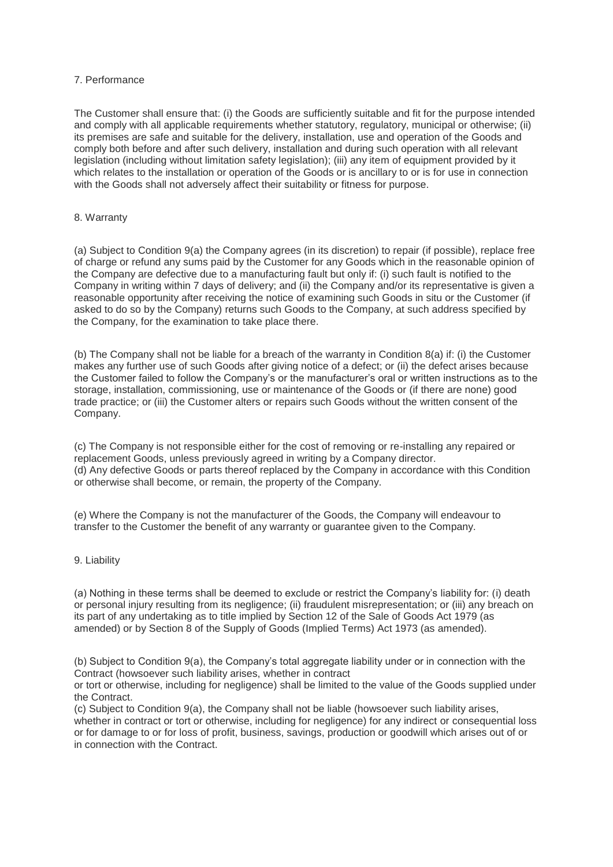### 7. Performance

The Customer shall ensure that: (i) the Goods are sufficiently suitable and fit for the purpose intended and comply with all applicable requirements whether statutory, regulatory, municipal or otherwise; (ii) its premises are safe and suitable for the delivery, installation, use and operation of the Goods and comply both before and after such delivery, installation and during such operation with all relevant legislation (including without limitation safety legislation); (iii) any item of equipment provided by it which relates to the installation or operation of the Goods or is ancillary to or is for use in connection with the Goods shall not adversely affect their suitability or fitness for purpose.

### 8. Warranty

(a) Subject to Condition 9(a) the Company agrees (in its discretion) to repair (if possible), replace free of charge or refund any sums paid by the Customer for any Goods which in the reasonable opinion of the Company are defective due to a manufacturing fault but only if: (i) such fault is notified to the Company in writing within 7 days of delivery; and (ii) the Company and/or its representative is given a reasonable opportunity after receiving the notice of examining such Goods in situ or the Customer (if asked to do so by the Company) returns such Goods to the Company, at such address specified by the Company, for the examination to take place there.

(b) The Company shall not be liable for a breach of the warranty in Condition 8(a) if: (i) the Customer makes any further use of such Goods after giving notice of a defect; or (ii) the defect arises because the Customer failed to follow the Company's or the manufacturer's oral or written instructions as to the storage, installation, commissioning, use or maintenance of the Goods or (if there are none) good trade practice; or (iii) the Customer alters or repairs such Goods without the written consent of the Company.

(c) The Company is not responsible either for the cost of removing or re-installing any repaired or replacement Goods, unless previously agreed in writing by a Company director. (d) Any defective Goods or parts thereof replaced by the Company in accordance with this Condition or otherwise shall become, or remain, the property of the Company.

(e) Where the Company is not the manufacturer of the Goods, the Company will endeavour to transfer to the Customer the benefit of any warranty or guarantee given to the Company.

### 9. Liability

(a) Nothing in these terms shall be deemed to exclude or restrict the Company's liability for: (i) death or personal injury resulting from its negligence; (ii) fraudulent misrepresentation; or (iii) any breach on its part of any undertaking as to title implied by Section 12 of the Sale of Goods Act 1979 (as amended) or by Section 8 of the Supply of Goods (Implied Terms) Act 1973 (as amended).

(b) Subject to Condition 9(a), the Company's total aggregate liability under or in connection with the Contract (howsoever such liability arises, whether in contract

or tort or otherwise, including for negligence) shall be limited to the value of the Goods supplied under the Contract.

(c) Subject to Condition 9(a), the Company shall not be liable (howsoever such liability arises, whether in contract or tort or otherwise, including for negligence) for any indirect or consequential loss or for damage to or for loss of profit, business, savings, production or goodwill which arises out of or in connection with the Contract.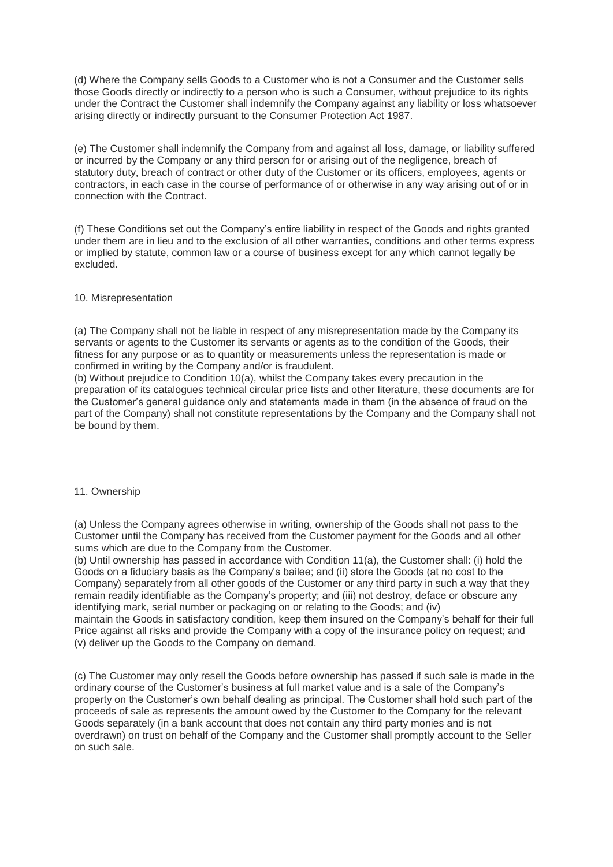(d) Where the Company sells Goods to a Customer who is not a Consumer and the Customer sells those Goods directly or indirectly to a person who is such a Consumer, without prejudice to its rights under the Contract the Customer shall indemnify the Company against any liability or loss whatsoever arising directly or indirectly pursuant to the Consumer Protection Act 1987.

(e) The Customer shall indemnify the Company from and against all loss, damage, or liability suffered or incurred by the Company or any third person for or arising out of the negligence, breach of statutory duty, breach of contract or other duty of the Customer or its officers, employees, agents or contractors, in each case in the course of performance of or otherwise in any way arising out of or in connection with the Contract.

(f) These Conditions set out the Company's entire liability in respect of the Goods and rights granted under them are in lieu and to the exclusion of all other warranties, conditions and other terms express or implied by statute, common law or a course of business except for any which cannot legally be excluded.

### 10. Misrepresentation

(a) The Company shall not be liable in respect of any misrepresentation made by the Company its servants or agents to the Customer its servants or agents as to the condition of the Goods, their fitness for any purpose or as to quantity or measurements unless the representation is made or confirmed in writing by the Company and/or is fraudulent.

(b) Without prejudice to Condition 10(a), whilst the Company takes every precaution in the preparation of its catalogues technical circular price lists and other literature, these documents are for the Customer's general guidance only and statements made in them (in the absence of fraud on the part of the Company) shall not constitute representations by the Company and the Company shall not be bound by them.

#### 11. Ownership

(a) Unless the Company agrees otherwise in writing, ownership of the Goods shall not pass to the Customer until the Company has received from the Customer payment for the Goods and all other sums which are due to the Company from the Customer.

(b) Until ownership has passed in accordance with Condition 11(a), the Customer shall: (i) hold the Goods on a fiduciary basis as the Company's bailee; and (ii) store the Goods (at no cost to the Company) separately from all other goods of the Customer or any third party in such a way that they remain readily identifiable as the Company's property; and (iii) not destroy, deface or obscure any identifying mark, serial number or packaging on or relating to the Goods; and (iv)

maintain the Goods in satisfactory condition, keep them insured on the Company's behalf for their full Price against all risks and provide the Company with a copy of the insurance policy on request; and (v) deliver up the Goods to the Company on demand.

(c) The Customer may only resell the Goods before ownership has passed if such sale is made in the ordinary course of the Customer's business at full market value and is a sale of the Company's property on the Customer's own behalf dealing as principal. The Customer shall hold such part of the proceeds of sale as represents the amount owed by the Customer to the Company for the relevant Goods separately (in a bank account that does not contain any third party monies and is not overdrawn) on trust on behalf of the Company and the Customer shall promptly account to the Seller on such sale.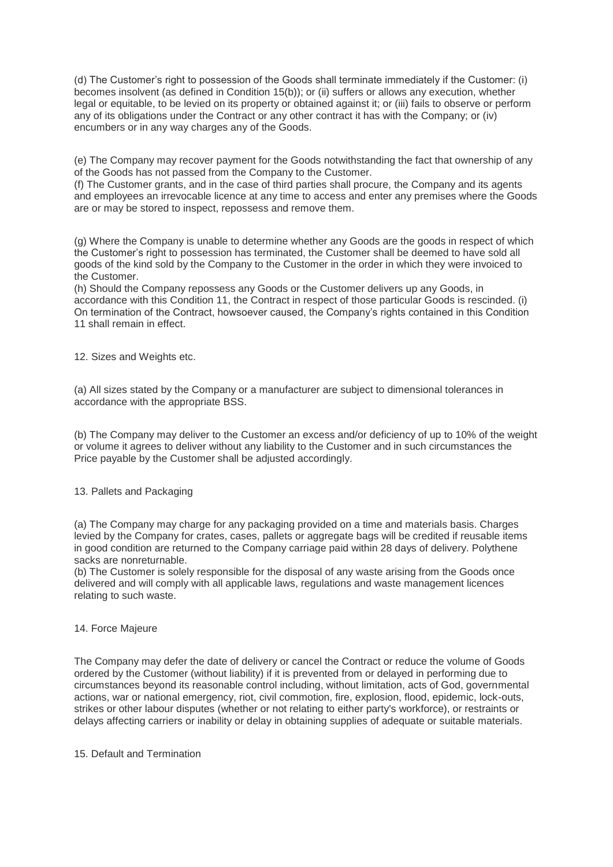(d) The Customer's right to possession of the Goods shall terminate immediately if the Customer: (i) becomes insolvent (as defined in Condition 15(b)); or (ii) suffers or allows any execution, whether legal or equitable, to be levied on its property or obtained against it; or (iii) fails to observe or perform any of its obligations under the Contract or any other contract it has with the Company; or (iv) encumbers or in any way charges any of the Goods.

(e) The Company may recover payment for the Goods notwithstanding the fact that ownership of any of the Goods has not passed from the Company to the Customer.

(f) The Customer grants, and in the case of third parties shall procure, the Company and its agents and employees an irrevocable licence at any time to access and enter any premises where the Goods are or may be stored to inspect, repossess and remove them.

(g) Where the Company is unable to determine whether any Goods are the goods in respect of which the Customer's right to possession has terminated, the Customer shall be deemed to have sold all goods of the kind sold by the Company to the Customer in the order in which they were invoiced to the Customer.

(h) Should the Company repossess any Goods or the Customer delivers up any Goods, in accordance with this Condition 11, the Contract in respect of those particular Goods is rescinded. (i) On termination of the Contract, howsoever caused, the Company's rights contained in this Condition 11 shall remain in effect.

12. Sizes and Weights etc.

(a) All sizes stated by the Company or a manufacturer are subject to dimensional tolerances in accordance with the appropriate BSS.

(b) The Company may deliver to the Customer an excess and/or deficiency of up to 10% of the weight or volume it agrees to deliver without any liability to the Customer and in such circumstances the Price payable by the Customer shall be adjusted accordingly.

### 13. Pallets and Packaging

(a) The Company may charge for any packaging provided on a time and materials basis. Charges levied by the Company for crates, cases, pallets or aggregate bags will be credited if reusable items in good condition are returned to the Company carriage paid within 28 days of delivery. Polythene sacks are nonreturnable.

(b) The Customer is solely responsible for the disposal of any waste arising from the Goods once delivered and will comply with all applicable laws, regulations and waste management licences relating to such waste.

### 14. Force Majeure

The Company may defer the date of delivery or cancel the Contract or reduce the volume of Goods ordered by the Customer (without liability) if it is prevented from or delayed in performing due to circumstances beyond its reasonable control including, without limitation, acts of God, governmental actions, war or national emergency, riot, civil commotion, fire, explosion, flood, epidemic, lock-outs, strikes or other labour disputes (whether or not relating to either party's workforce), or restraints or delays affecting carriers or inability or delay in obtaining supplies of adequate or suitable materials.

15. Default and Termination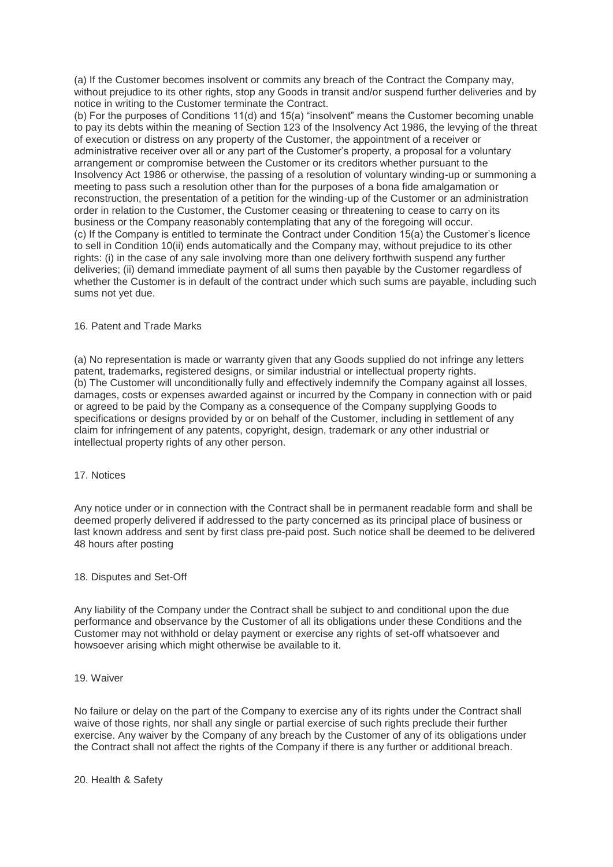(a) If the Customer becomes insolvent or commits any breach of the Contract the Company may, without prejudice to its other rights, stop any Goods in transit and/or suspend further deliveries and by notice in writing to the Customer terminate the Contract.

(b) For the purposes of Conditions 11(d) and 15(a) "insolvent" means the Customer becoming unable to pay its debts within the meaning of Section 123 of the Insolvency Act 1986, the levying of the threat of execution or distress on any property of the Customer, the appointment of a receiver or administrative receiver over all or any part of the Customer's property, a proposal for a voluntary arrangement or compromise between the Customer or its creditors whether pursuant to the Insolvency Act 1986 or otherwise, the passing of a resolution of voluntary winding-up or summoning a meeting to pass such a resolution other than for the purposes of a bona fide amalgamation or reconstruction, the presentation of a petition for the winding-up of the Customer or an administration order in relation to the Customer, the Customer ceasing or threatening to cease to carry on its business or the Company reasonably contemplating that any of the foregoing will occur. (c) If the Company is entitled to terminate the Contract under Condition 15(a) the Customer's licence to sell in Condition 10(ii) ends automatically and the Company may, without prejudice to its other rights: (i) in the case of any sale involving more than one delivery forthwith suspend any further deliveries; (ii) demand immediate payment of all sums then payable by the Customer regardless of whether the Customer is in default of the contract under which such sums are payable, including such sums not yet due.

### 16. Patent and Trade Marks

(a) No representation is made or warranty given that any Goods supplied do not infringe any letters patent, trademarks, registered designs, or similar industrial or intellectual property rights. (b) The Customer will unconditionally fully and effectively indemnify the Company against all losses, damages, costs or expenses awarded against or incurred by the Company in connection with or paid or agreed to be paid by the Company as a consequence of the Company supplying Goods to specifications or designs provided by or on behalf of the Customer, including in settlement of any claim for infringement of any patents, copyright, design, trademark or any other industrial or intellectual property rights of any other person.

### 17. Notices

Any notice under or in connection with the Contract shall be in permanent readable form and shall be deemed properly delivered if addressed to the party concerned as its principal place of business or last known address and sent by first class pre-paid post. Such notice shall be deemed to be delivered 48 hours after posting

### 18. Disputes and Set-Off

Any liability of the Company under the Contract shall be subject to and conditional upon the due performance and observance by the Customer of all its obligations under these Conditions and the Customer may not withhold or delay payment or exercise any rights of set-off whatsoever and howsoever arising which might otherwise be available to it.

### 19. Waiver

No failure or delay on the part of the Company to exercise any of its rights under the Contract shall waive of those rights, nor shall any single or partial exercise of such rights preclude their further exercise. Any waiver by the Company of any breach by the Customer of any of its obligations under the Contract shall not affect the rights of the Company if there is any further or additional breach.

20. Health & Safety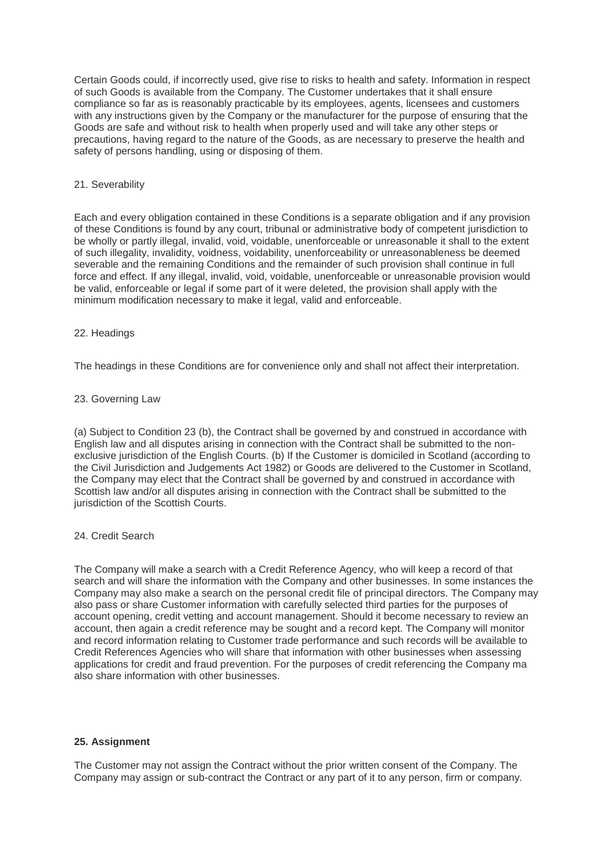Certain Goods could, if incorrectly used, give rise to risks to health and safety. Information in respect of such Goods is available from the Company. The Customer undertakes that it shall ensure compliance so far as is reasonably practicable by its employees, agents, licensees and customers with any instructions given by the Company or the manufacturer for the purpose of ensuring that the Goods are safe and without risk to health when properly used and will take any other steps or precautions, having regard to the nature of the Goods, as are necessary to preserve the health and safety of persons handling, using or disposing of them.

### 21. Severability

Each and every obligation contained in these Conditions is a separate obligation and if any provision of these Conditions is found by any court, tribunal or administrative body of competent jurisdiction to be wholly or partly illegal, invalid, void, voidable, unenforceable or unreasonable it shall to the extent of such illegality, invalidity, voidness, voidability, unenforceability or unreasonableness be deemed severable and the remaining Conditions and the remainder of such provision shall continue in full force and effect. If any illegal, invalid, void, voidable, unenforceable or unreasonable provision would be valid, enforceable or legal if some part of it were deleted, the provision shall apply with the minimum modification necessary to make it legal, valid and enforceable.

### 22. Headings

The headings in these Conditions are for convenience only and shall not affect their interpretation.

### 23. Governing Law

(a) Subject to Condition 23 (b), the Contract shall be governed by and construed in accordance with English law and all disputes arising in connection with the Contract shall be submitted to the nonexclusive jurisdiction of the English Courts. (b) If the Customer is domiciled in Scotland (according to the Civil Jurisdiction and Judgements Act 1982) or Goods are delivered to the Customer in Scotland, the Company may elect that the Contract shall be governed by and construed in accordance with Scottish law and/or all disputes arising in connection with the Contract shall be submitted to the jurisdiction of the Scottish Courts.

### 24. Credit Search

The Company will make a search with a Credit Reference Agency, who will keep a record of that search and will share the information with the Company and other businesses. In some instances the Company may also make a search on the personal credit file of principal directors. The Company may also pass or share Customer information with carefully selected third parties for the purposes of account opening, credit vetting and account management. Should it become necessary to review an account, then again a credit reference may be sought and a record kept. The Company will monitor and record information relating to Customer trade performance and such records will be available to Credit References Agencies who will share that information with other businesses when assessing applications for credit and fraud prevention. For the purposes of credit referencing the Company ma also share information with other businesses.

### **25. Assignment**

The Customer may not assign the Contract without the prior written consent of the Company. The Company may assign or sub-contract the Contract or any part of it to any person, firm or company.